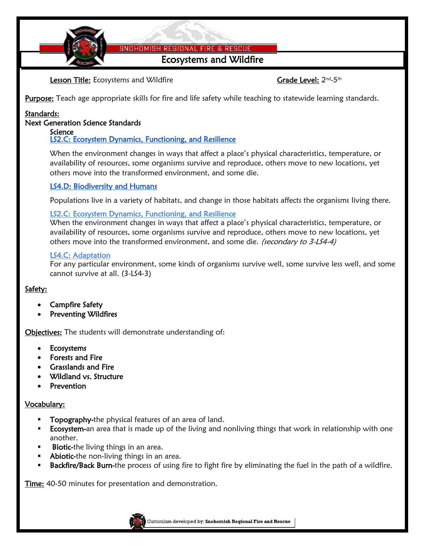SNOHOMISH REGIONAL FIRE & RESCUE

Ecosystems and Wildfire

Lesson Title: Ecosystems and Wildfire Grame Communication Crack Level: 2nd-5th

Purpose: Teach age appropriate skills for fire and life safety while teaching to statewide learning standards.

# Standards:

### Next Generation Science Standards

#### Science [LS2.C: Ecosystem Dynamics, Functioning, and Resilience](http://www.nap.edu/openbook.php?record_id=13165&page=154)

[When the environment changes in ways that affect a place's physical characteristics, temperature, or](http://www.nap.edu/openbook.php?record_id=13165&page=154)  [availability of resources, some organisms survive and reproduce, others move to new locations, yet](http://www.nap.edu/openbook.php?record_id=13165&page=154)  [others move into the transformed environment, and some die.](http://www.nap.edu/openbook.php?record_id=13165&page=154) 

# [LS4.D: Biodiversity and Humans](http://www.nap.edu/openbook.php?record_id=13165&page=166)

[Populations live in a variety of habitats, and change in those habitats affects the organisms living there.](http://www.nap.edu/openbook.php?record_id=13165&page=166)

# [LS2.C: Ecosystem Dynamics, Functioning, and Resilience](http://www.nap.edu/openbook.php?record_id=13165&page=154)

When the [environment changes in ways that affect a place's physical characteristics, temperature, or](http://www.nap.edu/openbook.php?record_id=13165&page=154)  [availability of resources, some organisms survive and reproduce, others move to new locations, yet](http://www.nap.edu/openbook.php?record_id=13165&page=154)  [others move into the transformed environment, and some die.](http://www.nap.edu/openbook.php?record_id=13165&page=154) [\(secondary to 3-LS4-4\)](http://www.nap.edu/openbook.php?record_id=13165&page=154)

# [LS4.C: Adaptation](http://www.nap.edu/openbook.php?record_id=13165&page=164)

[For any particular environment, some kinds of organisms survive well, some survive less well, and some](http://www.nap.edu/openbook.php?record_id=13165&page=164)  [cannot survive at all. \(3-LS4-3\)](http://www.nap.edu/openbook.php?record_id=13165&page=164)

# Safety:

- Campfire Safety
- Preventing Wildfires

**Objectives:** The students will demonstrate understanding of:

- Ecosystems
- Forests and Fire
- Grasslands and Fire
- Wildland vs. Structure
- Prevention

### Vocabulary:

- Topography-the physical features of an area of land.
- Ecosystem-an area that is made up of the living and nonliving things that work in relationship with one another.
- **Biotic-the living things in an area.**
- Abiotic-the non-living things in an area.
- Backfire/Back Burn-the process of using fire to fight fire by eliminating the fuel in the path of a wildfire.

Time: 40-50 minutes for presentation and demonstration.

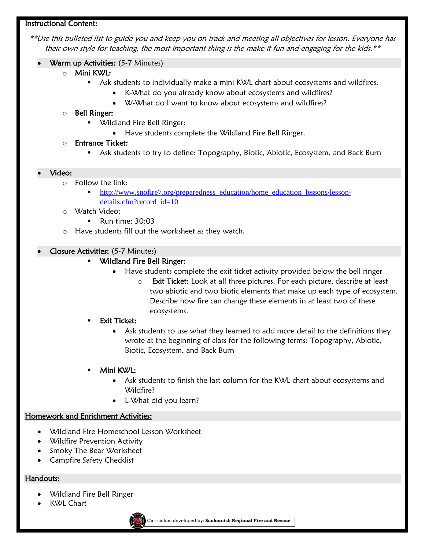### Instructional Content:

\*\*Use this bulleted list to guide you and keep you on track and meeting all objectives for lesson. Everyone has their own style for teaching, the most important thing is the make it fun and engaging for the kids.\*\*

- Warm up Activities: (5-7 Minutes)
	- o Mini KWL:
		- **Ask students to individually make a mini KWL chart about ecosystems and wildfires.** 
			- K-What do you already know about ecosystems and wildfires?
			- W-What do I want to know about ecosystems and wildfires?

### o Bell Ringer:

- Wildland Fire Bell Ringer:
	- Have students complete the Wildland Fire Bell Ringer.

### o Entrance Ticket:

Ask students to try to define: Topography, Biotic, Abiotic, Ecosystem, and Back Burn

#### Video:

- o Follow the link:
	- [http://www.snofire7.org/preparedness\\_education/home\\_education\\_lessons/lesson](http://www.snofire7.org/preparedness_education/home_education_lessons/lesson-details.cfm?record_id=10)[details.cfm?record\\_id=10](http://www.snofire7.org/preparedness_education/home_education_lessons/lesson-details.cfm?record_id=10)
- o Watch Video:
	- **Run time: 30:03**
- o Have students fill out the worksheet as they watch.

### Closure Activities: (5-7 Minutes)

### Wildland Fire Bell Ringer:

- Have students complete the exit ticket activity provided below the bell ringer
	- $\circ$  Exit Ticket: Look at all three pictures. For each picture, describe at least two abiotic and two biotic elements that make up each type of ecosystem. Describe how fire can change these elements in at least two of these ecosystems.
- Exit Ticket:
	- Ask students to use what they learned to add more detail to the definitions they wrote at the beginning of class for the following terms: Topography, Abiotic, Biotic, Ecosystem, and Back Burn

### Mini KWL:

- Ask students to finish the last column for the KWL chart about ecosystems and Wildfire?
- L-What did you learn?

### Homework and Enrichment Activities:

- Wildland Fire Homeschool Lesson Worksheet
- Wildfire Prevention Activity
- Smoky The Bear Worksheet
- Campfire Safety Checklist

### Handouts:

- Wildland Fire Bell Ringer
- KWL Chart

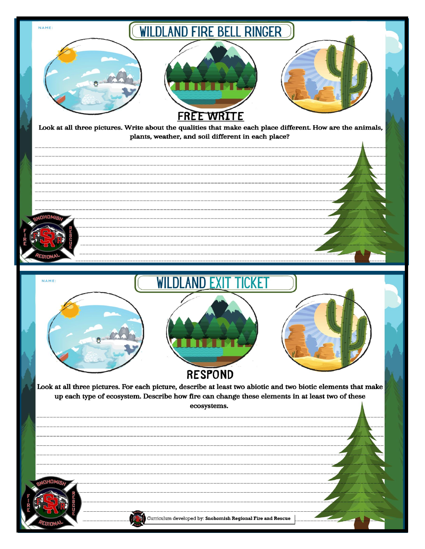| NAME:<br><b>WILDLAND FIRE BELL RINGER</b><br><b>FREE WRITE</b><br>Look at all three pictures. Write about the qualities that make each place different. How are the animals,<br>plants, weather, and soil different in each place?                                         |
|----------------------------------------------------------------------------------------------------------------------------------------------------------------------------------------------------------------------------------------------------------------------------|
| <b>ADHOM</b>                                                                                                                                                                                                                                                               |
| <b>WILDLAND EXIT TICKET</b><br>NAME:<br><b>RESPOND</b><br>Look at all three pictures. For each picture, describe at least two abiotic and two biotic elements that make<br>up each type of ecosystem. Describe how fire can change these elements in at least two of these |
| ecosystems.<br>n Ho                                                                                                                                                                                                                                                        |